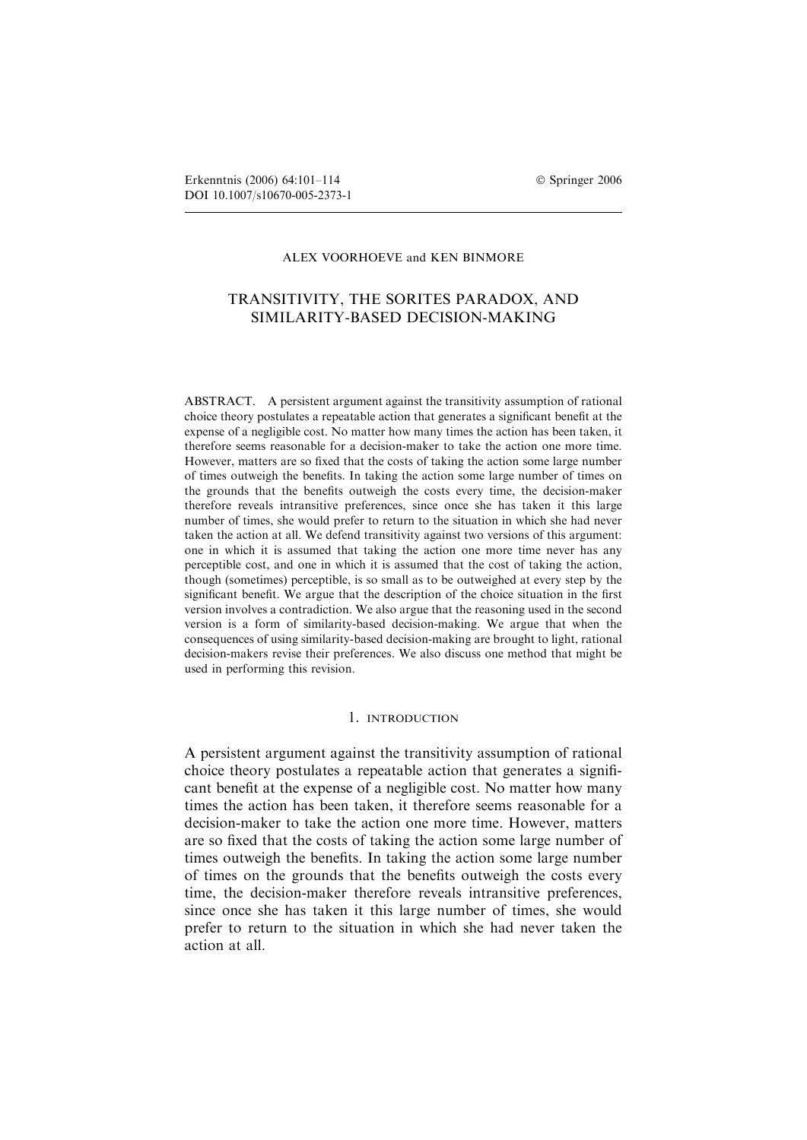### ALEX VOORHOEVE and KEN BINMORE

# TRANSITIVITY, THE SORITES PARADOX, AND SIMILARITY-BASED DECISION-MAKING

ABSTRACT. A persistent argument against the transitivity assumption of rational choice theory postulates a repeatable action that generates a significant benefit at the expense of a negligible cost. No matter how many times the action has been taken, it therefore seems reasonable for a decision-maker to take the action one more time. However, matters are so fixed that the costs of taking the action some large number of times outweigh the benefits. In taking the action some large number of times on the grounds that the benefits outweigh the costs every time, the decision-maker therefore reveals intransitive preferences, since once she has taken it this large number of times, she would prefer to return to the situation in which she had never taken the action at all. We defend transitivity against two versions of this argument: one in which it is assumed that taking the action one more time never has any perceptible cost, and one in which it is assumed that the cost of taking the action, though (sometimes) perceptible, is so small as to be outweighed at every step by the significant benefit. We argue that the description of the choice situation in the first version involves a contradiction. We also argue that the reasoning used in the second version is a form of similarity-based decision-making. We argue that when the consequences of using similarity-based decision-making are brought to light, rational decision-makers revise their preferences. We also discuss one method that might be used in performing this revision.

## 1. INTRODUCTION

A persistent argument against the transitivity assumption of rational choice theory postulates a repeatable action that generates a significant benefit at the expense of a negligible cost. No matter how many times the action has been taken, it therefore seems reasonable for a decision-maker to take the action one more time. However, matters are so fixed that the costs of taking the action some large number of times outweigh the benefits. In taking the action some large number of times on the grounds that the benefits outweigh the costs every time, the decision-maker therefore reveals intransitive preferences, since once she has taken it this large number of times, she would prefer to return to the situation in which she had never taken the action at all.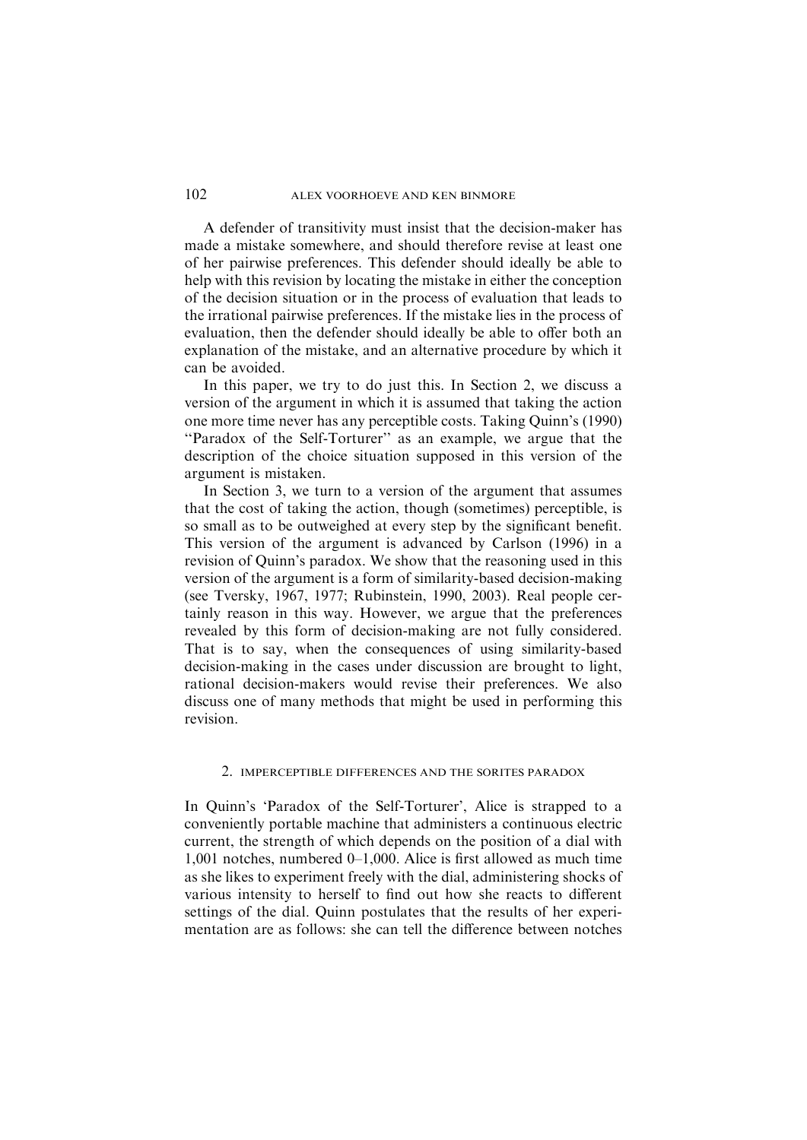## 102 ALEX VOORHOEVE AND KEN BINMORE

A defender of transitivity must insist that the decision-maker has made a mistake somewhere, and should therefore revise at least one of her pairwise preferences. This defender should ideally be able to help with this revision by locating the mistake in either the conception of the decision situation or in the process of evaluation that leads to the irrational pairwise preferences. If the mistake lies in the process of evaluation, then the defender should ideally be able to offer both an explanation of the mistake, and an alternative procedure by which it can be avoided.

In this paper, we try to do just this. In Section 2, we discuss a version of the argument in which it is assumed that taking the action one more time never has any perceptible costs. Taking Quinn's (1990) ''Paradox of the Self-Torturer'' as an example, we argue that the description of the choice situation supposed in this version of the argument is mistaken.

In Section 3, we turn to a version of the argument that assumes that the cost of taking the action, though (sometimes) perceptible, is so small as to be outweighed at every step by the significant benefit. This version of the argument is advanced by Carlson (1996) in a revision of Quinn's paradox. We show that the reasoning used in this version of the argument is a form of similarity-based decision-making (see Tversky, 1967, 1977; Rubinstein, 1990, 2003). Real people certainly reason in this way. However, we argue that the preferences revealed by this form of decision-making are not fully considered. That is to say, when the consequences of using similarity-based decision-making in the cases under discussion are brought to light, rational decision-makers would revise their preferences. We also discuss one of many methods that might be used in performing this revision.

### 2. IMPERCEPTIBLE DIFFERENCES AND THE SORITES PARADOX

In Quinn's 'Paradox of the Self-Torturer', Alice is strapped to a conveniently portable machine that administers a continuous electric current, the strength of which depends on the position of a dial with 1,001 notches, numbered 0–1,000. Alice is first allowed as much time as she likes to experiment freely with the dial, administering shocks of various intensity to herself to find out how she reacts to different settings of the dial. Quinn postulates that the results of her experimentation are as follows: she can tell the difference between notches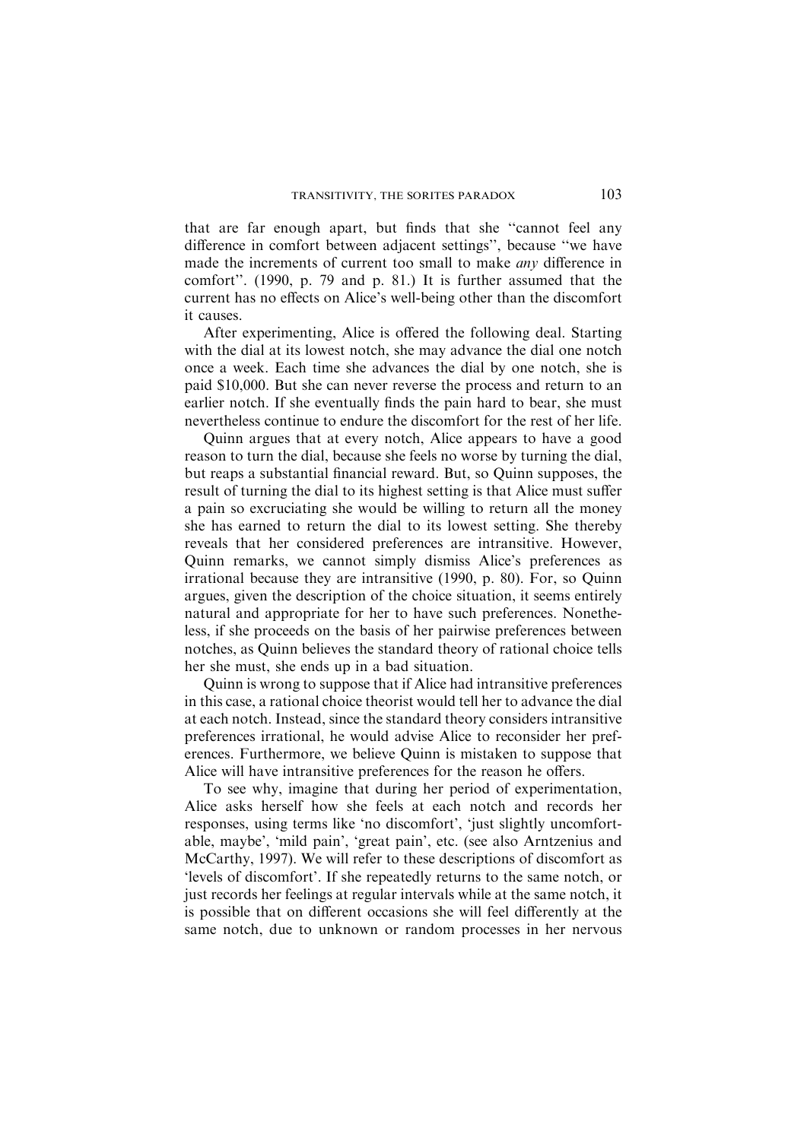that are far enough apart, but finds that she ''cannot feel any difference in comfort between adjacent settings'', because ''we have made the increments of current too small to make any difference in comfort''. (1990, p. 79 and p. 81.) It is further assumed that the current has no effects on Alice's well-being other than the discomfort it causes.

After experimenting, Alice is offered the following deal. Starting with the dial at its lowest notch, she may advance the dial one notch once a week. Each time she advances the dial by one notch, she is paid \$10,000. But she can never reverse the process and return to an earlier notch. If she eventually finds the pain hard to bear, she must nevertheless continue to endure the discomfort for the rest of her life.

Quinn argues that at every notch, Alice appears to have a good reason to turn the dial, because she feels no worse by turning the dial, but reaps a substantial financial reward. But, so Quinn supposes, the result of turning the dial to its highest setting is that Alice must suffer a pain so excruciating she would be willing to return all the money she has earned to return the dial to its lowest setting. She thereby reveals that her considered preferences are intransitive. However, Quinn remarks, we cannot simply dismiss Alice's preferences as irrational because they are intransitive (1990, p. 80). For, so Quinn argues, given the description of the choice situation, it seems entirely natural and appropriate for her to have such preferences. Nonetheless, if she proceeds on the basis of her pairwise preferences between notches, as Quinn believes the standard theory of rational choice tells her she must, she ends up in a bad situation.

Quinn is wrong to suppose that if Alice had intransitive preferences in this case, a rational choice theorist would tell her to advance the dial at each notch. Instead, since the standard theory considers intransitive preferences irrational, he would advise Alice to reconsider her preferences. Furthermore, we believe Quinn is mistaken to suppose that Alice will have intransitive preferences for the reason he offers.

To see why, imagine that during her period of experimentation, Alice asks herself how she feels at each notch and records her responses, using terms like 'no discomfort', 'just slightly uncomfortable, maybe', 'mild pain', 'great pain', etc. (see also Arntzenius and McCarthy, 1997). We will refer to these descriptions of discomfort as 'levels of discomfort'. If she repeatedly returns to the same notch, or just records her feelings at regular intervals while at the same notch, it is possible that on different occasions she will feel differently at the same notch, due to unknown or random processes in her nervous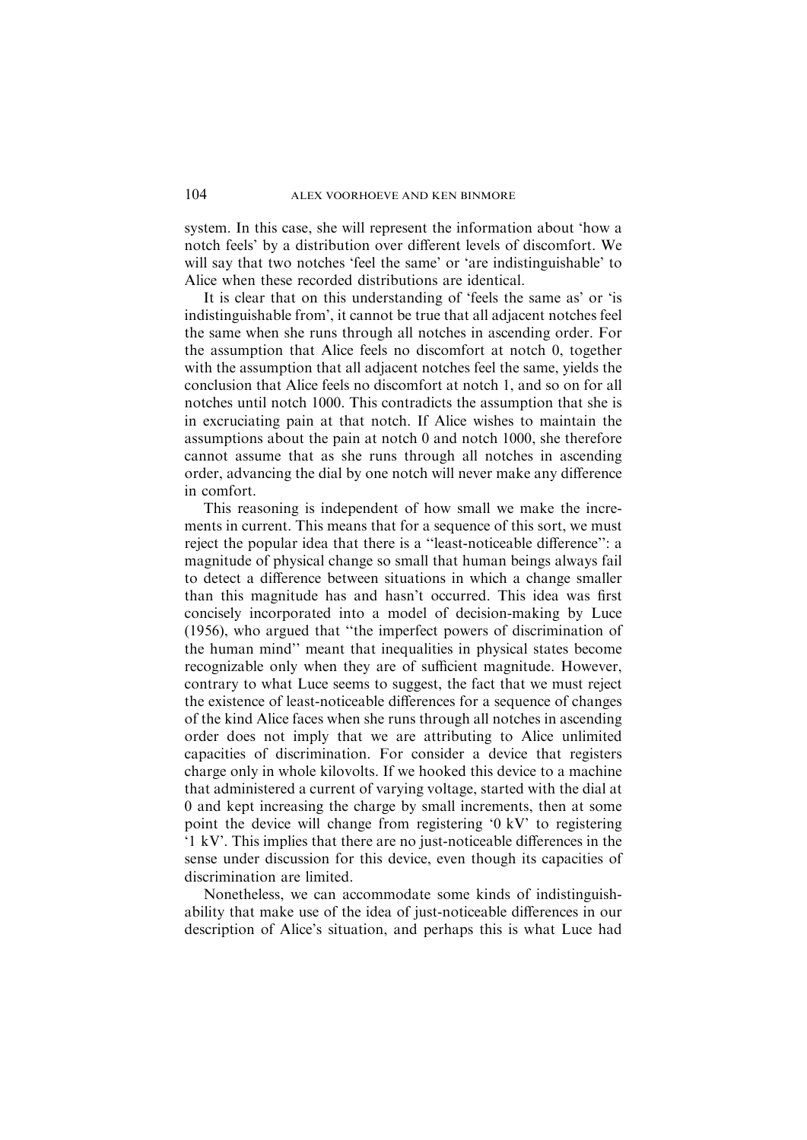system. In this case, she will represent the information about 'how a notch feels' by a distribution over different levels of discomfort. We will say that two notches 'feel the same' or 'are indistinguishable' to Alice when these recorded distributions are identical.

It is clear that on this understanding of 'feels the same as' or 'is indistinguishable from', it cannot be true that all adjacent notches feel the same when she runs through all notches in ascending order. For the assumption that Alice feels no discomfort at notch 0, together with the assumption that all adjacent notches feel the same, yields the conclusion that Alice feels no discomfort at notch 1, and so on for all notches until notch 1000. This contradicts the assumption that she is in excruciating pain at that notch. If Alice wishes to maintain the assumptions about the pain at notch 0 and notch 1000, she therefore cannot assume that as she runs through all notches in ascending order, advancing the dial by one notch will never make any difference in comfort.

This reasoning is independent of how small we make the increments in current. This means that for a sequence of this sort, we must reject the popular idea that there is a ''least-noticeable difference'': a magnitude of physical change so small that human beings always fail to detect a difference between situations in which a change smaller than this magnitude has and hasn't occurred. This idea was first concisely incorporated into a model of decision-making by Luce (1956), who argued that ''the imperfect powers of discrimination of the human mind'' meant that inequalities in physical states become recognizable only when they are of sufficient magnitude. However, contrary to what Luce seems to suggest, the fact that we must reject the existence of least-noticeable differences for a sequence of changes of the kind Alice faces when she runs through all notches in ascending order does not imply that we are attributing to Alice unlimited capacities of discrimination. For consider a device that registers charge only in whole kilovolts. If we hooked this device to a machine that administered a current of varying voltage, started with the dial at 0 and kept increasing the charge by small increments, then at some point the device will change from registering '0 kV' to registering '1 kV'. This implies that there are no just-noticeable differences in the sense under discussion for this device, even though its capacities of discrimination are limited.

Nonetheless, we can accommodate some kinds of indistinguishability that make use of the idea of just-noticeable differences in our description of Alice's situation, and perhaps this is what Luce had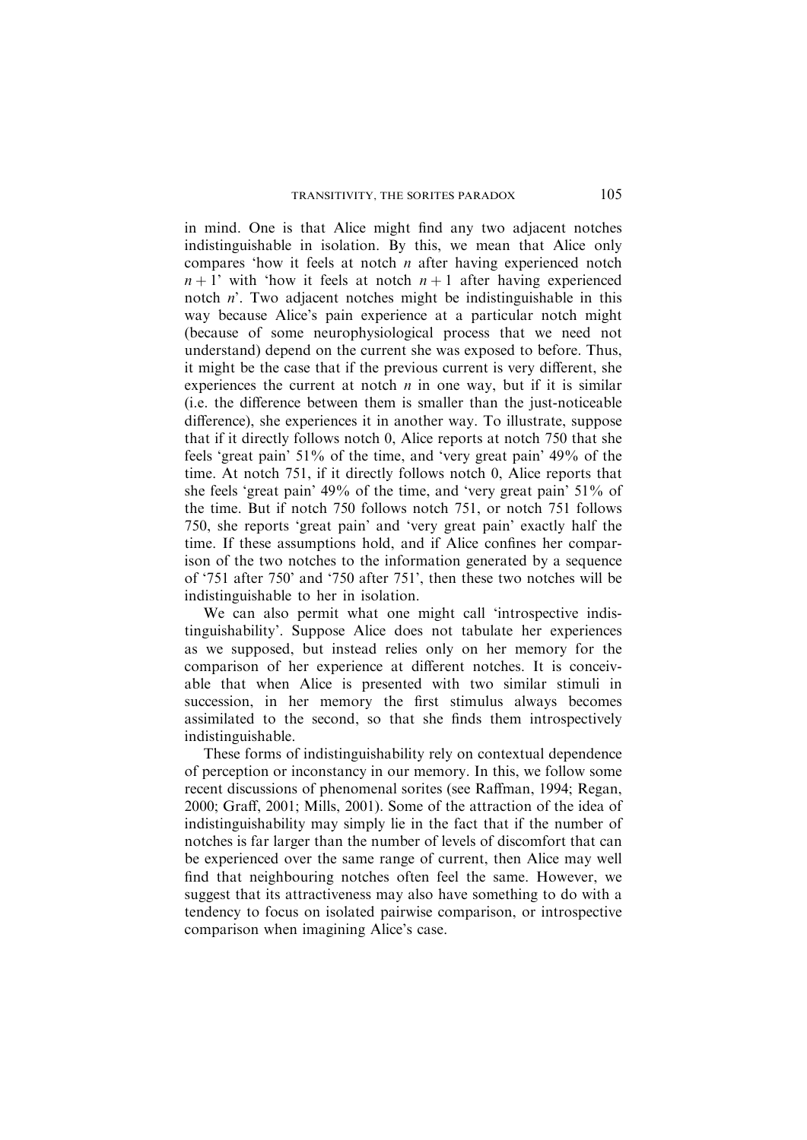in mind. One is that Alice might find any two adjacent notches indistinguishable in isolation. By this, we mean that Alice only compares 'how it feels at notch  $n$  after having experienced notch  $n+1'$  with 'how it feels at notch  $n+1$  after having experienced notch  $n$ <sup>2</sup>. Two adjacent notches might be indistinguishable in this way because Alice's pain experience at a particular notch might (because of some neurophysiological process that we need not understand) depend on the current she was exposed to before. Thus, it might be the case that if the previous current is very different, she experiences the current at notch  $n$  in one way, but if it is similar (i.e. the difference between them is smaller than the just-noticeable difference), she experiences it in another way. To illustrate, suppose that if it directly follows notch 0, Alice reports at notch 750 that she feels 'great pain' 51% of the time, and 'very great pain' 49% of the time. At notch 751, if it directly follows notch 0, Alice reports that she feels 'great pain' 49% of the time, and 'very great pain' 51% of the time. But if notch 750 follows notch 751, or notch 751 follows 750, she reports 'great pain' and 'very great pain' exactly half the time. If these assumptions hold, and if Alice confines her comparison of the two notches to the information generated by a sequence of '751 after 750' and '750 after 751', then these two notches will be indistinguishable to her in isolation.

We can also permit what one might call 'introspective indistinguishability'. Suppose Alice does not tabulate her experiences as we supposed, but instead relies only on her memory for the comparison of her experience at different notches. It is conceivable that when Alice is presented with two similar stimuli in succession, in her memory the first stimulus always becomes assimilated to the second, so that she finds them introspectively indistinguishable.

These forms of indistinguishability rely on contextual dependence of perception or inconstancy in our memory. In this, we follow some recent discussions of phenomenal sorites (see Raffman, 1994; Regan, 2000; Graff, 2001; Mills, 2001). Some of the attraction of the idea of indistinguishability may simply lie in the fact that if the number of notches is far larger than the number of levels of discomfort that can be experienced over the same range of current, then Alice may well find that neighbouring notches often feel the same. However, we suggest that its attractiveness may also have something to do with a tendency to focus on isolated pairwise comparison, or introspective comparison when imagining Alice's case.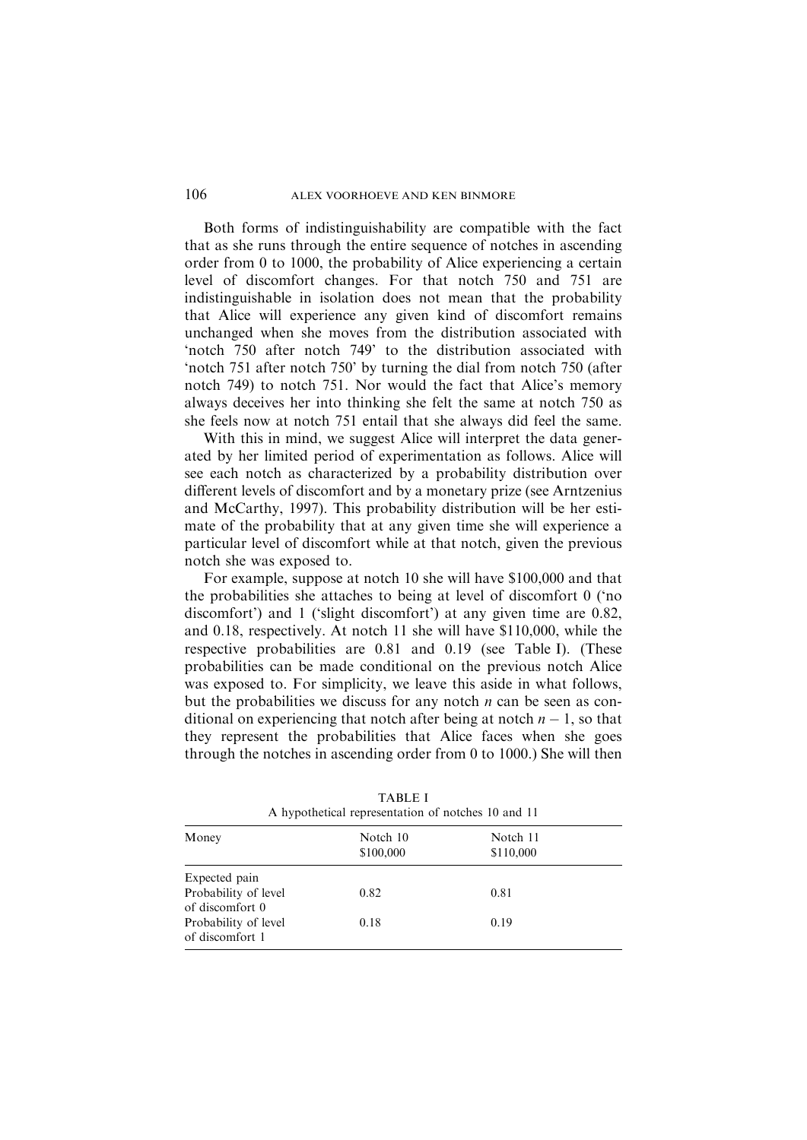## 106 ALEX VOORHOEVE AND KEN BINMORE

Both forms of indistinguishability are compatible with the fact that as she runs through the entire sequence of notches in ascending order from 0 to 1000, the probability of Alice experiencing a certain level of discomfort changes. For that notch 750 and 751 are indistinguishable in isolation does not mean that the probability that Alice will experience any given kind of discomfort remains unchanged when she moves from the distribution associated with 'notch 750 after notch 749' to the distribution associated with 'notch 751 after notch 750' by turning the dial from notch 750 (after notch 749) to notch 751. Nor would the fact that Alice's memory always deceives her into thinking she felt the same at notch 750 as she feels now at notch 751 entail that she always did feel the same.

With this in mind, we suggest Alice will interpret the data generated by her limited period of experimentation as follows. Alice will see each notch as characterized by a probability distribution over different levels of discomfort and by a monetary prize (see Arntzenius and McCarthy, 1997). This probability distribution will be her estimate of the probability that at any given time she will experience a particular level of discomfort while at that notch, given the previous notch she was exposed to.

For example, suppose at notch 10 she will have \$100,000 and that the probabilities she attaches to being at level of discomfort 0 ('no discomfort') and 1 ('slight discomfort') at any given time are 0.82, and 0.18, respectively. At notch 11 she will have \$110,000, while the respective probabilities are 0.81 and 0.19 (see Table I). (These probabilities can be made conditional on the previous notch Alice was exposed to. For simplicity, we leave this aside in what follows, but the probabilities we discuss for any notch  $n$  can be seen as conditional on experiencing that notch after being at notch  $n - 1$ , so that they represent the probabilities that Alice faces when she goes through the notches in ascending order from 0 to 1000.) She will then

| $\alpha$ hypothetical representation of hotelies to and $\alpha$ |                       |                       |  |
|------------------------------------------------------------------|-----------------------|-----------------------|--|
| Money                                                            | Notch 10<br>\$100,000 | Notch 11<br>\$110,000 |  |
| Expected pain<br>Probability of level<br>of discomfort 0         | 0.82                  | 0.81                  |  |
| Probability of level<br>of discomfort 1                          | 0.18                  | 0.19                  |  |

TABLE I A hypothetical representation of notches 10 and 11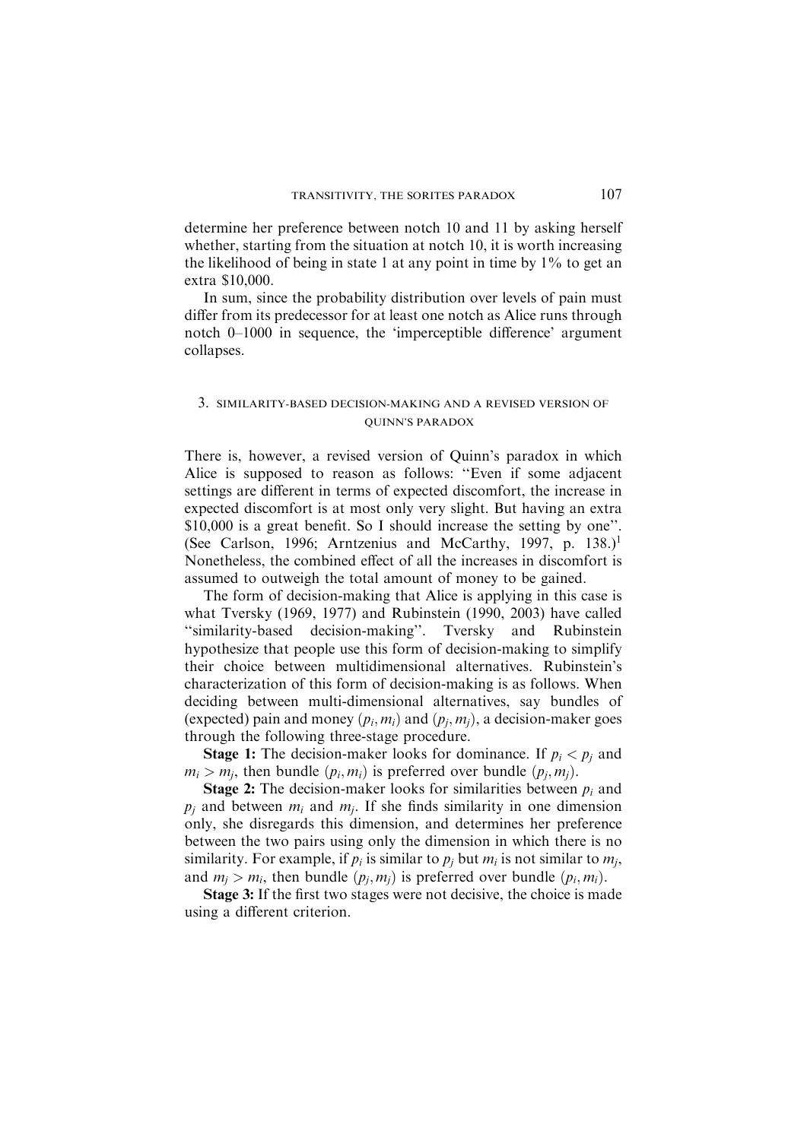determine her preference between notch 10 and 11 by asking herself whether, starting from the situation at notch 10, it is worth increasing the likelihood of being in state 1 at any point in time by 1% to get an extra \$10,000.

In sum, since the probability distribution over levels of pain must differ from its predecessor for at least one notch as Alice runs through notch 0–1000 in sequence, the 'imperceptible difference' argument collapses.

## 3. SIMILARITY-BASED DECISION-MAKING AND A REVISED VERSION OF QUINN'S PARADOX

There is, however, a revised version of Quinn's paradox in which Alice is supposed to reason as follows: ''Even if some adjacent settings are different in terms of expected discomfort, the increase in expected discomfort is at most only very slight. But having an extra \$10,000 is a great benefit. So I should increase the setting by one''. (See Carlson, 1996; Arntzenius and McCarthy, 1997, p. 138.)<sup>1</sup> Nonetheless, the combined effect of all the increases in discomfort is assumed to outweigh the total amount of money to be gained.

The form of decision-making that Alice is applying in this case is what Tversky (1969, 1977) and Rubinstein (1990, 2003) have called ''similarity-based decision-making''. Tversky and Rubinstein hypothesize that people use this form of decision-making to simplify their choice between multidimensional alternatives. Rubinstein's characterization of this form of decision-making is as follows. When deciding between multi-dimensional alternatives, say bundles of (expected) pain and money  $(p_i, m_i)$  and  $(p_i, m_i)$ , a decision-maker goes through the following three-stage procedure.

**Stage 1:** The decision-maker looks for dominance. If  $p_i < p_j$  and  $m_i > m_j$ , then bundle  $(p_i, m_i)$  is preferred over bundle  $(p_i, m_j)$ .

**Stage 2:** The decision-maker looks for similarities between  $p_i$  and  $p_i$  and between  $m_i$  and  $m_i$ . If she finds similarity in one dimension only, she disregards this dimension, and determines her preference between the two pairs using only the dimension in which there is no similarity. For example, if  $p_i$  is similar to  $p_i$  but  $m_i$  is not similar to  $m_i$ , and  $m_i > m_i$ , then bundle  $(p_i, m_i)$  is preferred over bundle  $(p_i, m_i)$ .

Stage 3: If the first two stages were not decisive, the choice is made using a different criterion.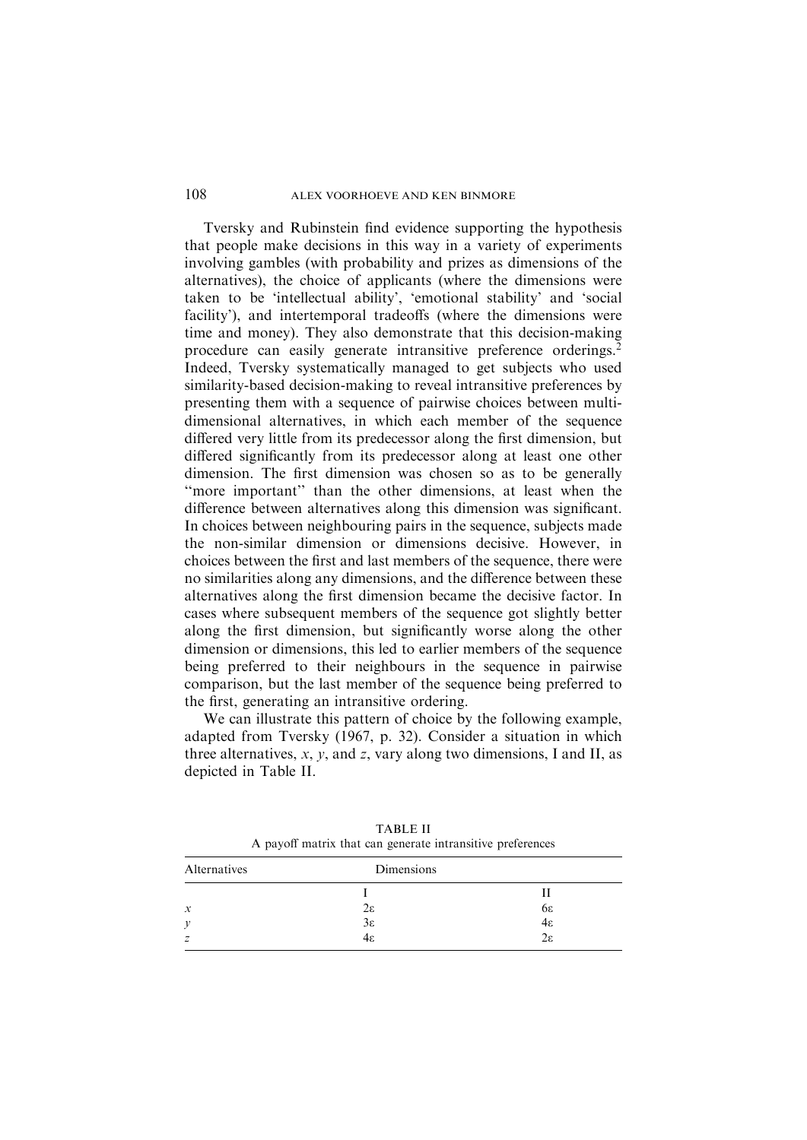## 108 ALEX VOORHOEVE AND KEN BINMORE

Tversky and Rubinstein find evidence supporting the hypothesis that people make decisions in this way in a variety of experiments involving gambles (with probability and prizes as dimensions of the alternatives), the choice of applicants (where the dimensions were taken to be 'intellectual ability', 'emotional stability' and 'social facility'), and intertemporal tradeoffs (where the dimensions were time and money). They also demonstrate that this decision-making procedure can easily generate intransitive preference orderings.<sup>2</sup> Indeed, Tversky systematically managed to get subjects who used similarity-based decision-making to reveal intransitive preferences by presenting them with a sequence of pairwise choices between multidimensional alternatives, in which each member of the sequence differed very little from its predecessor along the first dimension, but differed significantly from its predecessor along at least one other dimension. The first dimension was chosen so as to be generally ''more important'' than the other dimensions, at least when the difference between alternatives along this dimension was significant. In choices between neighbouring pairs in the sequence, subjects made the non-similar dimension or dimensions decisive. However, in choices between the first and last members of the sequence, there were no similarities along any dimensions, and the difference between these alternatives along the first dimension became the decisive factor. In cases where subsequent members of the sequence got slightly better along the first dimension, but significantly worse along the other dimension or dimensions, this led to earlier members of the sequence being preferred to their neighbours in the sequence in pairwise comparison, but the last member of the sequence being preferred to the first, generating an intransitive ordering.

We can illustrate this pattern of choice by the following example, adapted from Tversky (1967, p. 32). Consider a situation in which three alternatives,  $x$ ,  $y$ , and  $z$ , vary along two dimensions, I and II, as depicted in Table II.

| Alternatives  | Dimensions     |                |
|---------------|----------------|----------------|
|               |                |                |
| $\mathcal{X}$ | 2ε             | 6ε             |
| у             | $3\varepsilon$ | 4ε             |
| z             | 4ε             | $2\varepsilon$ |

TABLE II A payoff matrix that can generate intransitive preferences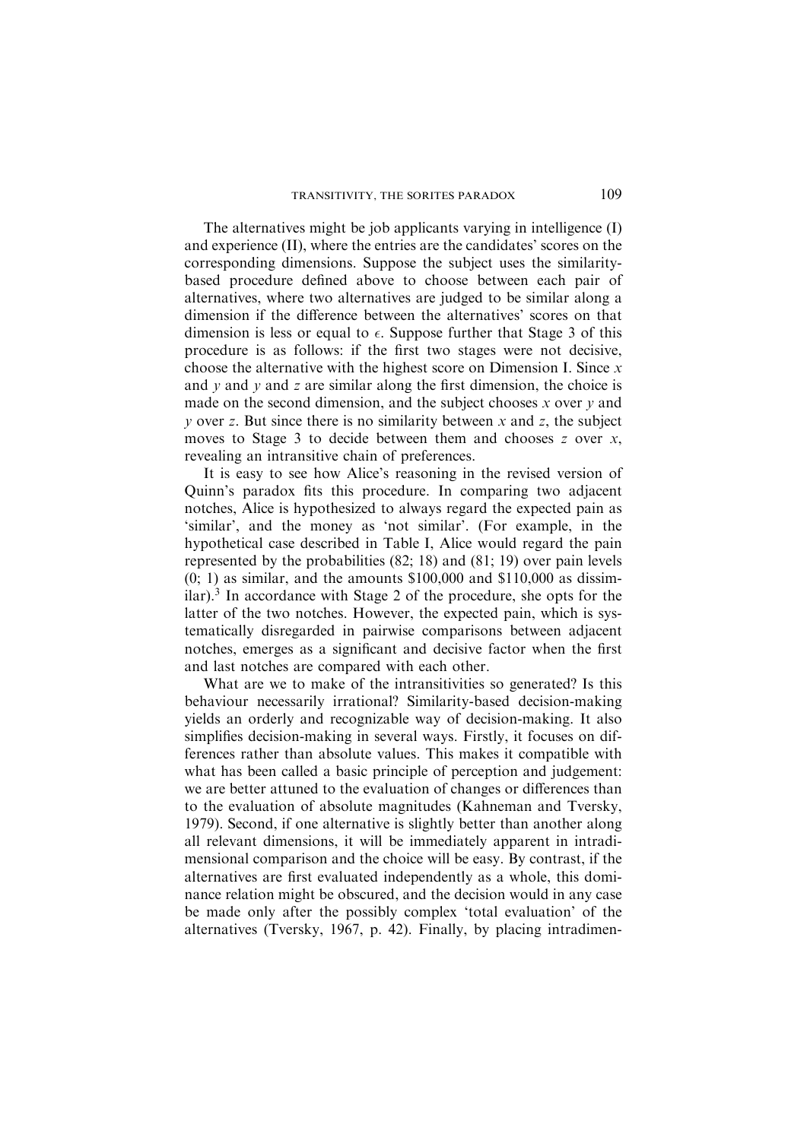The alternatives might be job applicants varying in intelligence (I) and experience (II), where the entries are the candidates' scores on the corresponding dimensions. Suppose the subject uses the similaritybased procedure defined above to choose between each pair of alternatives, where two alternatives are judged to be similar along a dimension if the difference between the alternatives' scores on that dimension is less or equal to  $\epsilon$ . Suppose further that Stage 3 of this procedure is as follows: if the first two stages were not decisive, choose the alternative with the highest score on Dimension I. Since  $x$ and  $y$  and  $z$  are similar along the first dimension, the choice is made on the second dimension, and the subject chooses x over  $\nu$  and y over z. But since there is no similarity between x and z, the subject moves to Stage 3 to decide between them and chooses z over x, revealing an intransitive chain of preferences.

It is easy to see how Alice's reasoning in the revised version of Quinn's paradox fits this procedure. In comparing two adjacent notches, Alice is hypothesized to always regard the expected pain as 'similar', and the money as 'not similar'. (For example, in the hypothetical case described in Table I, Alice would regard the pain represented by the probabilities (82; 18) and (81; 19) over pain levels  $(0; 1)$  as similar, and the amounts \$100,000 and \$110,000 as dissim- $\chi$  ilar).<sup>3</sup> In accordance with Stage 2 of the procedure, she opts for the latter of the two notches. However, the expected pain, which is systematically disregarded in pairwise comparisons between adjacent notches, emerges as a significant and decisive factor when the first and last notches are compared with each other.

What are we to make of the intransitivities so generated? Is this behaviour necessarily irrational? Similarity-based decision-making yields an orderly and recognizable way of decision-making. It also simplifies decision-making in several ways. Firstly, it focuses on differences rather than absolute values. This makes it compatible with what has been called a basic principle of perception and judgement: we are better attuned to the evaluation of changes or differences than to the evaluation of absolute magnitudes (Kahneman and Tversky, 1979). Second, if one alternative is slightly better than another along all relevant dimensions, it will be immediately apparent in intradimensional comparison and the choice will be easy. By contrast, if the alternatives are first evaluated independently as a whole, this dominance relation might be obscured, and the decision would in any case be made only after the possibly complex 'total evaluation' of the alternatives (Tversky, 1967, p. 42). Finally, by placing intradimen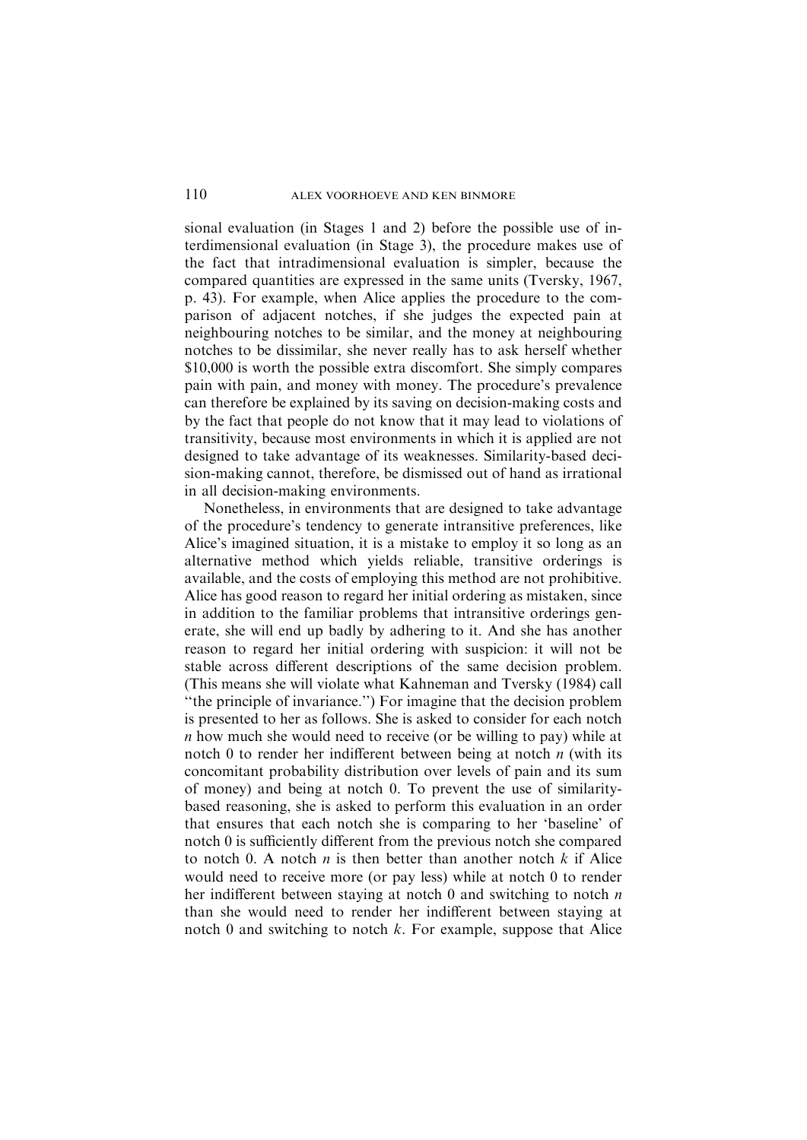sional evaluation (in Stages 1 and 2) before the possible use of interdimensional evaluation (in Stage 3), the procedure makes use of the fact that intradimensional evaluation is simpler, because the compared quantities are expressed in the same units (Tversky, 1967, p. 43). For example, when Alice applies the procedure to the comparison of adjacent notches, if she judges the expected pain at neighbouring notches to be similar, and the money at neighbouring notches to be dissimilar, she never really has to ask herself whether \$10,000 is worth the possible extra discomfort. She simply compares pain with pain, and money with money. The procedure's prevalence can therefore be explained by its saving on decision-making costs and by the fact that people do not know that it may lead to violations of transitivity, because most environments in which it is applied are not designed to take advantage of its weaknesses. Similarity-based decision-making cannot, therefore, be dismissed out of hand as irrational in all decision-making environments.

Nonetheless, in environments that are designed to take advantage of the procedure's tendency to generate intransitive preferences, like Alice's imagined situation, it is a mistake to employ it so long as an alternative method which yields reliable, transitive orderings is available, and the costs of employing this method are not prohibitive. Alice has good reason to regard her initial ordering as mistaken, since in addition to the familiar problems that intransitive orderings generate, she will end up badly by adhering to it. And she has another reason to regard her initial ordering with suspicion: it will not be stable across different descriptions of the same decision problem. (This means she will violate what Kahneman and Tversky (1984) call ''the principle of invariance.'') For imagine that the decision problem is presented to her as follows. She is asked to consider for each notch  $n$  how much she would need to receive (or be willing to pay) while at notch 0 to render her indifferent between being at notch  $n$  (with its concomitant probability distribution over levels of pain and its sum of money) and being at notch 0. To prevent the use of similaritybased reasoning, she is asked to perform this evaluation in an order that ensures that each notch she is comparing to her 'baseline' of notch 0 is sufficiently different from the previous notch she compared to notch 0. A notch *n* is then better than another notch  $k$  if Alice would need to receive more (or pay less) while at notch 0 to render her indifferent between staying at notch 0 and switching to notch  $n$ than she would need to render her indifferent between staying at notch 0 and switching to notch  $k$ . For example, suppose that Alice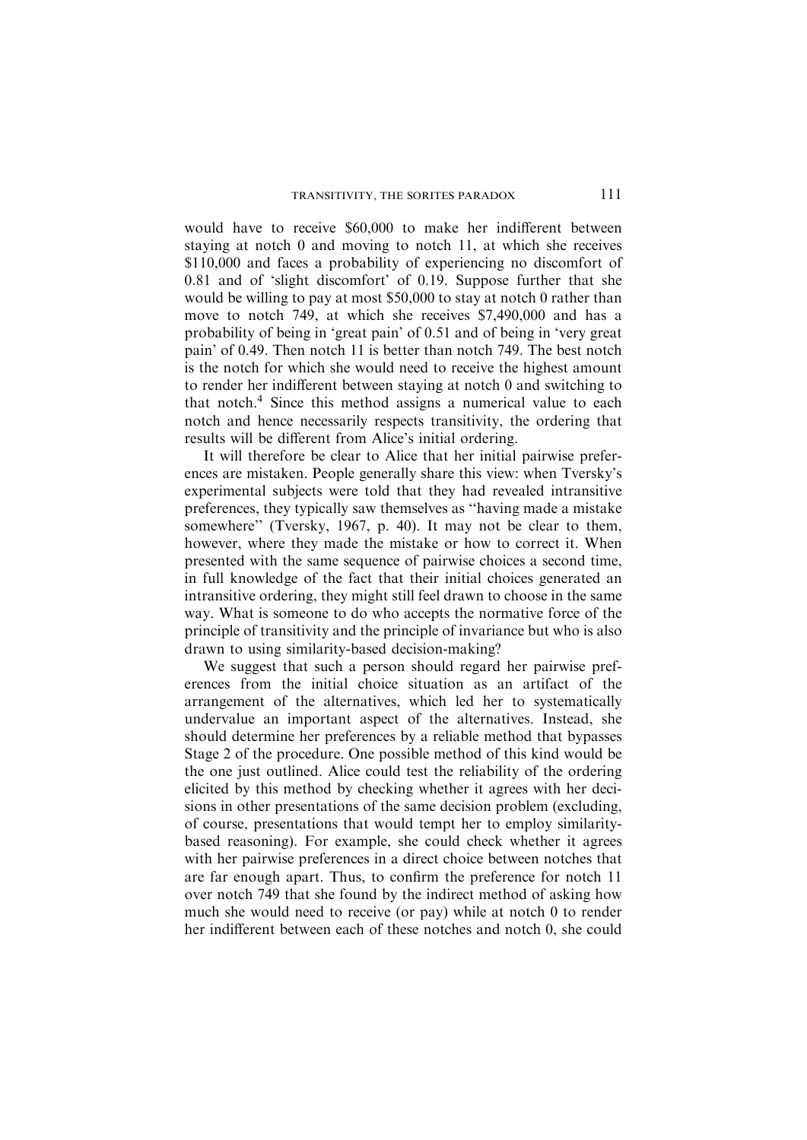would have to receive \$60,000 to make her indifferent between staying at notch 0 and moving to notch 11, at which she receives \$110,000 and faces a probability of experiencing no discomfort of 0.81 and of 'slight discomfort' of 0.19. Suppose further that she would be willing to pay at most \$50,000 to stay at notch 0 rather than move to notch 749, at which she receives \$7,490,000 and has a probability of being in 'great pain' of 0.51 and of being in 'very great pain' of 0.49. Then notch 11 is better than notch 749. The best notch is the notch for which she would need to receive the highest amount to render her indifferent between staying at notch 0 and switching to that notch.4 Since this method assigns a numerical value to each notch and hence necessarily respects transitivity, the ordering that results will be different from Alice's initial ordering.

It will therefore be clear to Alice that her initial pairwise preferences are mistaken. People generally share this view: when Tversky's experimental subjects were told that they had revealed intransitive preferences, they typically saw themselves as ''having made a mistake somewhere'' (Tversky, 1967, p. 40). It may not be clear to them, however, where they made the mistake or how to correct it. When presented with the same sequence of pairwise choices a second time, in full knowledge of the fact that their initial choices generated an intransitive ordering, they might still feel drawn to choose in the same way. What is someone to do who accepts the normative force of the principle of transitivity and the principle of invariance but who is also drawn to using similarity-based decision-making?

We suggest that such a person should regard her pairwise preferences from the initial choice situation as an artifact of the arrangement of the alternatives, which led her to systematically undervalue an important aspect of the alternatives. Instead, she should determine her preferences by a reliable method that bypasses Stage 2 of the procedure. One possible method of this kind would be the one just outlined. Alice could test the reliability of the ordering elicited by this method by checking whether it agrees with her decisions in other presentations of the same decision problem (excluding, of course, presentations that would tempt her to employ similaritybased reasoning). For example, she could check whether it agrees with her pairwise preferences in a direct choice between notches that are far enough apart. Thus, to confirm the preference for notch 11 over notch 749 that she found by the indirect method of asking how much she would need to receive (or pay) while at notch 0 to render her indifferent between each of these notches and notch 0, she could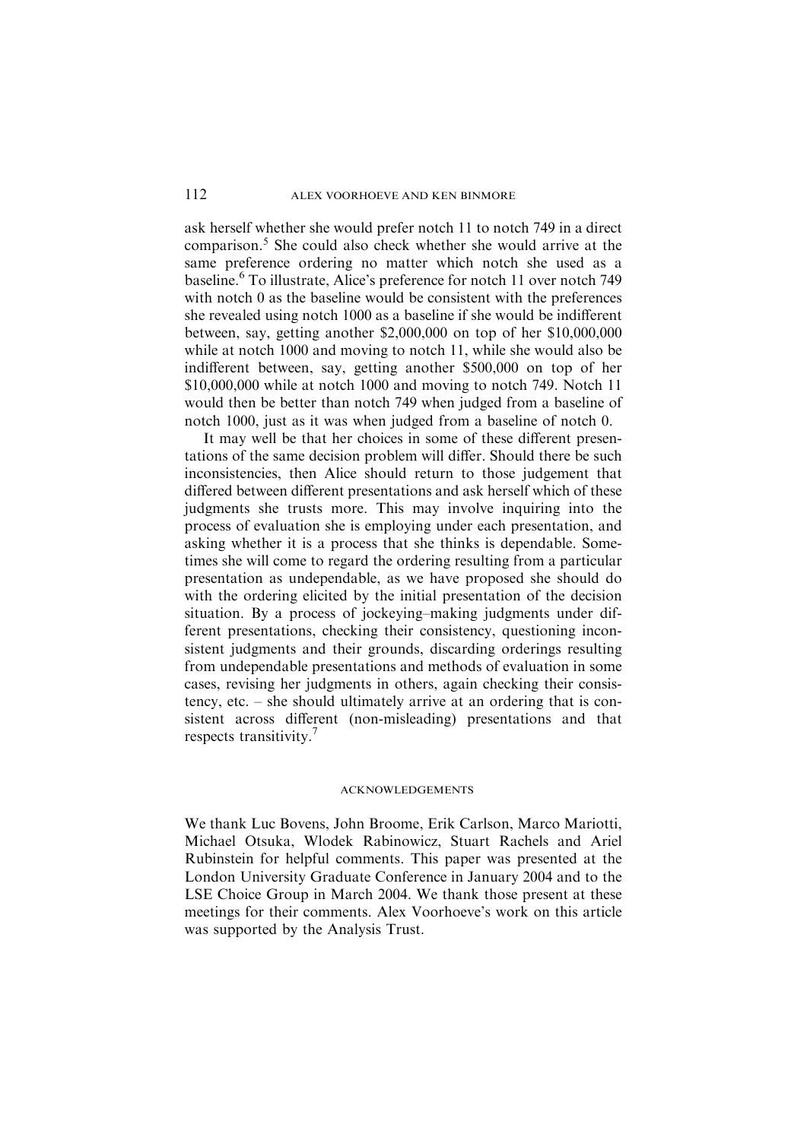ask herself whether she would prefer notch 11 to notch 749 in a direct comparison.5 She could also check whether she would arrive at the same preference ordering no matter which notch she used as a baseline.<sup>6</sup> To illustrate, Alice's preference for notch 11 over notch 749 with notch 0 as the baseline would be consistent with the preferences she revealed using notch 1000 as a baseline if she would be indifferent between, say, getting another \$2,000,000 on top of her \$10,000,000 while at notch 1000 and moving to notch 11, while she would also be indifferent between, say, getting another \$500,000 on top of her \$10,000,000 while at notch 1000 and moving to notch 749. Notch 11 would then be better than notch 749 when judged from a baseline of notch 1000, just as it was when judged from a baseline of notch 0.

It may well be that her choices in some of these different presentations of the same decision problem will differ. Should there be such inconsistencies, then Alice should return to those judgement that differed between different presentations and ask herself which of these judgments she trusts more. This may involve inquiring into the process of evaluation she is employing under each presentation, and asking whether it is a process that she thinks is dependable. Sometimes she will come to regard the ordering resulting from a particular presentation as undependable, as we have proposed she should do with the ordering elicited by the initial presentation of the decision situation. By a process of jockeying–making judgments under different presentations, checking their consistency, questioning inconsistent judgments and their grounds, discarding orderings resulting from undependable presentations and methods of evaluation in some cases, revising her judgments in others, again checking their consistency, etc. – she should ultimately arrive at an ordering that is consistent across different (non-misleading) presentations and that respects transitivity.7

### ACKNOWLEDGEMENTS

We thank Luc Bovens, John Broome, Erik Carlson, Marco Mariotti, Michael Otsuka, Wlodek Rabinowicz, Stuart Rachels and Ariel Rubinstein for helpful comments. This paper was presented at the London University Graduate Conference in January 2004 and to the LSE Choice Group in March 2004. We thank those present at these meetings for their comments. Alex Voorhoeve's work on this article was supported by the Analysis Trust.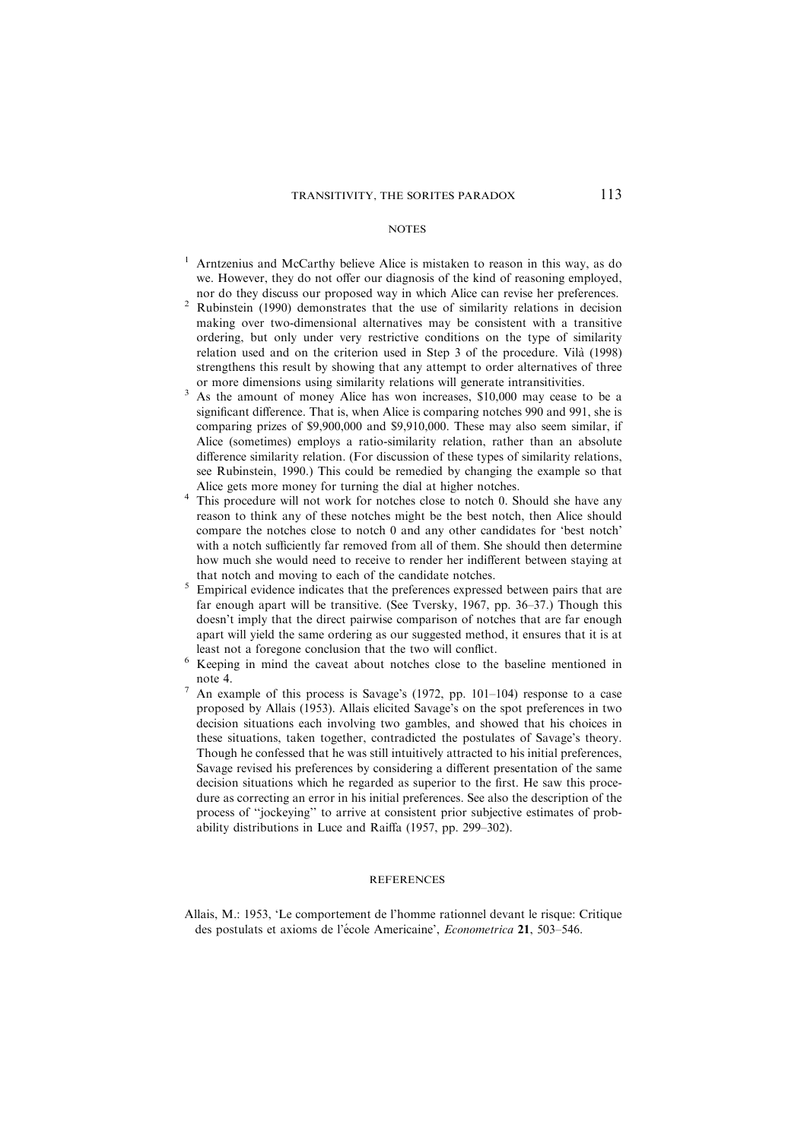## **NOTES**

- <sup>1</sup> Arntzenius and McCarthy believe Alice is mistaken to reason in this way, as do we. However, they do not offer our diagnosis of the kind of reasoning employed, nor do they discuss our proposed way in which Alice can revise her preferences.
- <sup>2</sup> Rubinstein (1990) demonstrates that the use of similarity relations in decision making over two-dimensional alternatives may be consistent with a transitive ordering, but only under very restrictive conditions on the type of similarity relation used and on the criterion used in Step 3 of the procedure. Vila` (1998) strengthens this result by showing that any attempt to order alternatives of three or more dimensions using similarity relations will generate intransitivities. <sup>3</sup> As the amount of money Alice has won increases, \$10,000 may cease to be a
- significant difference. That is, when Alice is comparing notches 990 and 991, she is comparing prizes of \$9,900,000 and \$9,910,000. These may also seem similar, if Alice (sometimes) employs a ratio-similarity relation, rather than an absolute difference similarity relation. (For discussion of these types of similarity relations, see Rubinstein, 1990.) This could be remedied by changing the example so that
- Alice gets more money for turning the dial at higher notches.<br><sup>4</sup> This procedure will not work for notches close to notch 0. Should she have any reason to think any of these notches might be the best notch, then Alice should compare the notches close to notch 0 and any other candidates for 'best notch' with a notch sufficiently far removed from all of them. She should then determine how much she would need to receive to render her indifferent between staying at that notch and moving to each of the candidate notches.<br><sup>5</sup> Empirical evidence indicates that the preferences expressed between pairs that are
- far enough apart will be transitive. (See Tversky, 1967, pp. 36–37.) Though this doesn't imply that the direct pairwise comparison of notches that are far enough apart will yield the same ordering as our suggested method, it ensures that it is at
- least not a foregone conclusion that the two will conflict.<br><sup>6</sup> Keeping in mind the caveat about notches close to the baseline mentioned in note 4.
- An example of this process is Savage's (1972, pp.  $101-104$ ) response to a case proposed by Allais (1953). Allais elicited Savage's on the spot preferences in two decision situations each involving two gambles, and showed that his choices in these situations, taken together, contradicted the postulates of Savage's theory. Though he confessed that he was still intuitively attracted to his initial preferences, Savage revised his preferences by considering a different presentation of the same decision situations which he regarded as superior to the first. He saw this procedure as correcting an error in his initial preferences. See also the description of the process of ''jockeying'' to arrive at consistent prior subjective estimates of probability distributions in Luce and Raiffa (1957, pp. 299–302).

### **REFERENCES**

Allais, M.: 1953, 'Le comportement de l'homme rationnel devant le risque: Critique des postulats et axioms de l'école Americaine', Econometrica 21, 503–546.